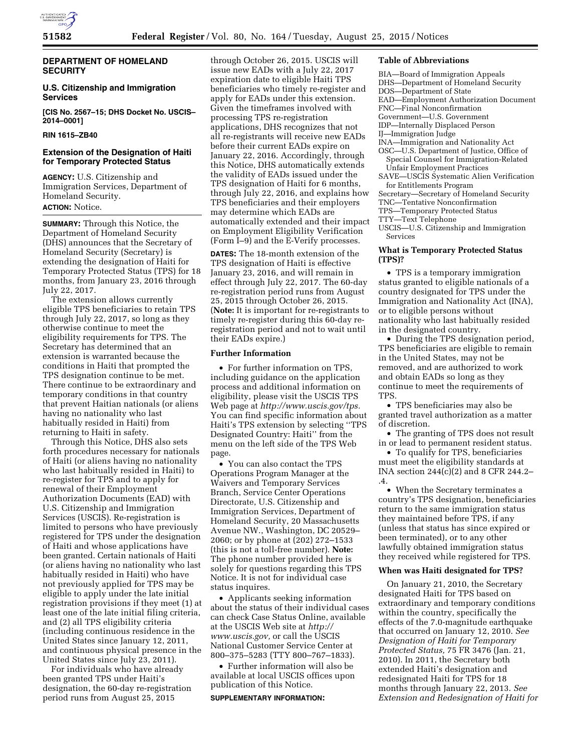

### **DEPARTMENT OF HOMELAND SECURITY**

### **U.S. Citizenship and Immigration Services**

**[CIS No. 2567–15; DHS Docket No. USCIS– 2014–0001]** 

# **RIN 1615–ZB40**

## **Extension of the Designation of Haiti for Temporary Protected Status**

**AGENCY:** U.S. Citizenship and Immigration Services, Department of Homeland Security. **ACTION:** Notice.

**SUMMARY:** Through this Notice, the Department of Homeland Security (DHS) announces that the Secretary of Homeland Security (Secretary) is extending the designation of Haiti for Temporary Protected Status (TPS) for 18 months, from January 23, 2016 through July 22, 2017.

The extension allows currently eligible TPS beneficiaries to retain TPS through July 22, 2017, so long as they otherwise continue to meet the eligibility requirements for TPS. The Secretary has determined that an extension is warranted because the conditions in Haiti that prompted the TPS designation continue to be met. There continue to be extraordinary and temporary conditions in that country that prevent Haitian nationals (or aliens having no nationality who last habitually resided in Haiti) from returning to Haiti in safety.

Through this Notice, DHS also sets forth procedures necessary for nationals of Haiti (or aliens having no nationality who last habitually resided in Haiti) to re-register for TPS and to apply for renewal of their Employment Authorization Documents (EAD) with U.S. Citizenship and Immigration Services (USCIS). Re-registration is limited to persons who have previously registered for TPS under the designation of Haiti and whose applications have been granted. Certain nationals of Haiti (or aliens having no nationality who last habitually resided in Haiti) who have not previously applied for TPS may be eligible to apply under the late initial registration provisions if they meet (1) at least one of the late initial filing criteria, and (2) all TPS eligibility criteria (including continuous residence in the United States since January 12, 2011, and continuous physical presence in the United States since July 23, 2011).

For individuals who have already been granted TPS under Haiti's designation, the 60-day re-registration period runs from August 25, 2015

through October 26, 2015. USCIS will issue new EADs with a July 22, 2017 expiration date to eligible Haiti TPS beneficiaries who timely re-register and apply for EADs under this extension. Given the timeframes involved with processing TPS re-registration applications, DHS recognizes that not all re-registrants will receive new EADs before their current EADs expire on January 22, 2016. Accordingly, through this Notice, DHS automatically extends the validity of EADs issued under the TPS designation of Haiti for 6 months, through July 22, 2016, and explains how TPS beneficiaries and their employers may determine which EADs are automatically extended and their impact on Employment Eligibility Verification (Form I–9) and the E-Verify processes.

**DATES:** The 18-month extension of the TPS designation of Haiti is effective January 23, 2016, and will remain in effect through July 22, 2017. The 60-day re-registration period runs from August 25, 2015 through October 26, 2015. (**Note:** It is important for re-registrants to timely re-register during this 60-day reregistration period and not to wait until their EADs expire.)

### **Further Information**

• For further information on TPS, including guidance on the application process and additional information on eligibility, please visit the USCIS TPS Web page at *[http://www.uscis.gov/tps.](http://www.uscis.gov/tps)*  You can find specific information about Haiti's TPS extension by selecting ''TPS Designated Country: Haiti'' from the menu on the left side of the TPS Web page.

• You can also contact the TPS Operations Program Manager at the Waivers and Temporary Services Branch, Service Center Operations Directorate, U.S. Citizenship and Immigration Services, Department of Homeland Security, 20 Massachusetts Avenue NW., Washington, DC 20529– 2060; or by phone at (202) 272–1533 (this is not a toll-free number). **Note:**  The phone number provided here is solely for questions regarding this TPS Notice. It is not for individual case status inquires.

• Applicants seeking information about the status of their individual cases can check Case Status Online, available at the USCIS Web site at *[http://](http://www.uscis.gov) [www.uscis.gov,](http://www.uscis.gov)* or call the USCIS National Customer Service Center at 800–375–5283 (TTY 800–767–1833).

• Further information will also be available at local USCIS offices upon publication of this Notice.

#### **SUPPLEMENTARY INFORMATION:**

#### **Table of Abbreviations**

- BIA—Board of Immigration Appeals
- DHS—Department of Homeland Security
- DOS—Department of State
- EAD—Employment Authorization Document
- FNC—Final Nonconfirmation
- Government—U.S. Government
- IDP—Internally Displaced Person

## IJ—Immigration Judge

- INA—Immigration and Nationality Act
- OSC—U.S. Department of Justice, Office of Special Counsel for Immigration-Related Unfair Employment Practices
- SAVE—USCIS Systematic Alien Verification for Entitlements Program
- Secretary—Secretary of Homeland Security
- TNC—Tentative Nonconfirmation
- TPS—Temporary Protected Status
- TTY—Text Telephone
- USCIS—U.S. Citizenship and Immigration Services

### **What is Temporary Protected Status (TPS)?**

• TPS is a temporary immigration status granted to eligible nationals of a country designated for TPS under the Immigration and Nationality Act (INA), or to eligible persons without nationality who last habitually resided in the designated country.

• During the TPS designation period, TPS beneficiaries are eligible to remain in the United States, may not be removed, and are authorized to work and obtain EADs so long as they continue to meet the requirements of TPS.

• TPS beneficiaries may also be granted travel authorization as a matter of discretion.

• The granting of TPS does not result in or lead to permanent resident status.

• To qualify for TPS, beneficiaries must meet the eligibility standards at INA section 244(c)(2) and 8 CFR 244.2– .4.

• When the Secretary terminates a country's TPS designation, beneficiaries return to the same immigration status they maintained before TPS, if any (unless that status has since expired or been terminated), or to any other lawfully obtained immigration status they received while registered for TPS.

### **When was Haiti designated for TPS?**

On January 21, 2010, the Secretary designated Haiti for TPS based on extraordinary and temporary conditions within the country, specifically the effects of the 7.0-magnitude earthquake that occurred on January 12, 2010. *See Designation of Haiti for Temporary Protected Status,* 75 FR 3476 (Jan. 21, 2010). In 2011, the Secretary both extended Haiti's designation and redesignated Haiti for TPS for 18 months through January 22, 2013. *See Extension and Redesignation of Haiti for*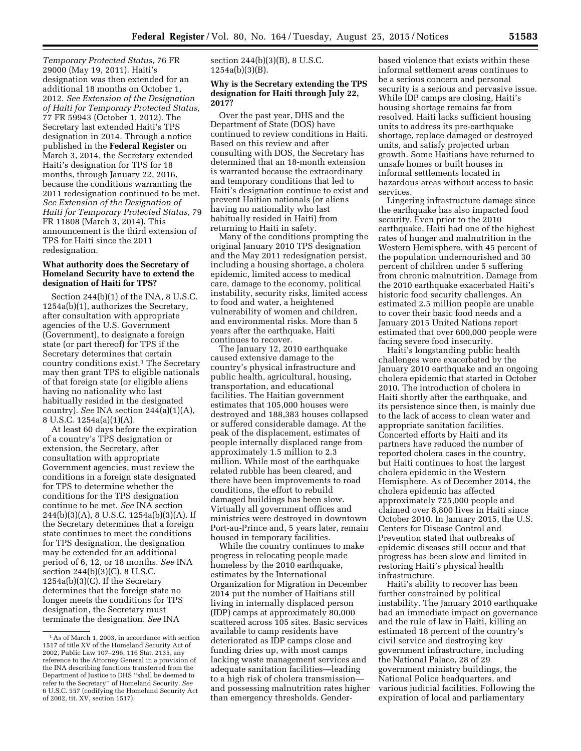*Temporary Protected Status,* 76 FR 29000 (May 19, 2011). Haiti's designation was then extended for an additional 18 months on October 1, 2012. *See Extension of the Designation of Haiti for Temporary Protected Status,*  77 FR 59943 (October 1, 2012). The Secretary last extended Haiti's TPS designation in 2014. Through a notice published in the **Federal Register** on March 3, 2014, the Secretary extended Haiti's designation for TPS for 18 months, through January 22, 2016, because the conditions warranting the 2011 redesignation continued to be met. *See Extension of the Designation of Haiti for Temporary Protected Status,* 79 FR 11808 (March 3, 2014). This announcement is the third extension of TPS for Haiti since the 2011 redesignation.

## **What authority does the Secretary of Homeland Security have to extend the designation of Haiti for TPS?**

Section 244(b)(1) of the INA, 8 U.S.C. 1254a(b)(1), authorizes the Secretary, after consultation with appropriate agencies of the U.S. Government (Government), to designate a foreign state (or part thereof) for TPS if the Secretary determines that certain country conditions exist.1 The Secretary may then grant TPS to eligible nationals of that foreign state (or eligible aliens having no nationality who last habitually resided in the designated country). *See* INA section 244(a)(1)(A), 8 U.S.C. 1254a(a)(1)(A).

At least 60 days before the expiration of a country's TPS designation or extension, the Secretary, after consultation with appropriate Government agencies, must review the conditions in a foreign state designated for TPS to determine whether the conditions for the TPS designation continue to be met. *See* INA section 244(b)(3)(A), 8 U.S.C. 1254a(b)(3)(A). If the Secretary determines that a foreign state continues to meet the conditions for TPS designation, the designation may be extended for an additional period of 6, 12, or 18 months. *See* INA section 244(b)(3)(C), 8 U.S.C. 1254a(b)(3)(C). If the Secretary determines that the foreign state no longer meets the conditions for TPS designation, the Secretary must terminate the designation. *See* INA

## section 244(b)(3)(B), 8 U.S.C. 1254a(b)(3)(B).

### **Why is the Secretary extending the TPS designation for Haiti through July 22, 2017?**

Over the past year, DHS and the Department of State (DOS) have continued to review conditions in Haiti. Based on this review and after consulting with DOS, the Secretary has determined that an 18-month extension is warranted because the extraordinary and temporary conditions that led to Haiti's designation continue to exist and prevent Haitian nationals (or aliens having no nationality who last habitually resided in Haiti) from returning to Haiti in safety.

Many of the conditions prompting the original January 2010 TPS designation and the May 2011 redesignation persist, including a housing shortage, a cholera epidemic, limited access to medical care, damage to the economy, political instability, security risks, limited access to food and water, a heightened vulnerability of women and children, and environmental risks. More than 5 years after the earthquake, Haiti continues to recover.

The January 12, 2010 earthquake caused extensive damage to the country's physical infrastructure and public health, agricultural, housing, transportation, and educational facilities. The Haitian government estimates that 105,000 houses were destroyed and 188,383 houses collapsed or suffered considerable damage. At the peak of the displacement, estimates of people internally displaced range from approximately 1.5 million to 2.3 million. While most of the earthquake related rubble has been cleared, and there have been improvements to road conditions, the effort to rebuild damaged buildings has been slow. Virtually all government offices and ministries were destroyed in downtown Port-au-Prince and, 5 years later, remain housed in temporary facilities.

While the country continues to make progress in relocating people made homeless by the 2010 earthquake, estimates by the International Organization for Migration in December 2014 put the number of Haitians still living in internally displaced person (IDP) camps at approximately 80,000 scattered across 105 sites. Basic services available to camp residents have deteriorated as IDP camps close and funding dries up, with most camps lacking waste management services and adequate sanitation facilities—leading to a high risk of cholera transmission and possessing malnutrition rates higher than emergency thresholds. Genderbased violence that exists within these informal settlement areas continues to be a serious concern and personal security is a serious and pervasive issue. While IDP camps are closing, Haiti's housing shortage remains far from resolved. Haiti lacks sufficient housing units to address its pre-earthquake shortage, replace damaged or destroyed units, and satisfy projected urban growth. Some Haitians have returned to unsafe homes or built houses in informal settlements located in hazardous areas without access to basic services.

Lingering infrastructure damage since the earthquake has also impacted food security. Even prior to the 2010 earthquake, Haiti had one of the highest rates of hunger and malnutrition in the Western Hemisphere, with 45 percent of the population undernourished and 30 percent of children under 5 suffering from chronic malnutrition. Damage from the 2010 earthquake exacerbated Haiti's historic food security challenges. An estimated 2.5 million people are unable to cover their basic food needs and a January 2015 United Nations report estimated that over 600,000 people were facing severe food insecurity.

Haiti's longstanding public health challenges were exacerbated by the January 2010 earthquake and an ongoing cholera epidemic that started in October 2010. The introduction of cholera in Haiti shortly after the earthquake, and its persistence since then, is mainly due to the lack of access to clean water and appropriate sanitation facilities. Concerted efforts by Haiti and its partners have reduced the number of reported cholera cases in the country, but Haiti continues to host the largest cholera epidemic in the Western Hemisphere. As of December 2014, the cholera epidemic has affected approximately 725,000 people and claimed over 8,800 lives in Haiti since October 2010. In January 2015, the U.S. Centers for Disease Control and Prevention stated that outbreaks of epidemic diseases still occur and that progress has been slow and limited in restoring Haiti's physical health infrastructure.

Haiti's ability to recover has been further constrained by political instability. The January 2010 earthquake had an immediate impact on governance and the rule of law in Haiti, killing an estimated 18 percent of the country's civil service and destroying key government infrastructure, including the National Palace, 28 of 29 government ministry buildings, the National Police headquarters, and various judicial facilities. Following the expiration of local and parliamentary

<sup>1</sup>As of March 1, 2003, in accordance with section 1517 of title XV of the Homeland Security Act of 2002, Public Law 107–296, 116 Stat. 2135, any reference to the Attorney General in a provision of the INA describing functions transferred from the Department of Justice to DHS ''shall be deemed to refer to the Secretary'' of Homeland Security. *See*  6 U.S.C. 557 (codifying the Homeland Security Act of 2002, tit. XV, section 1517).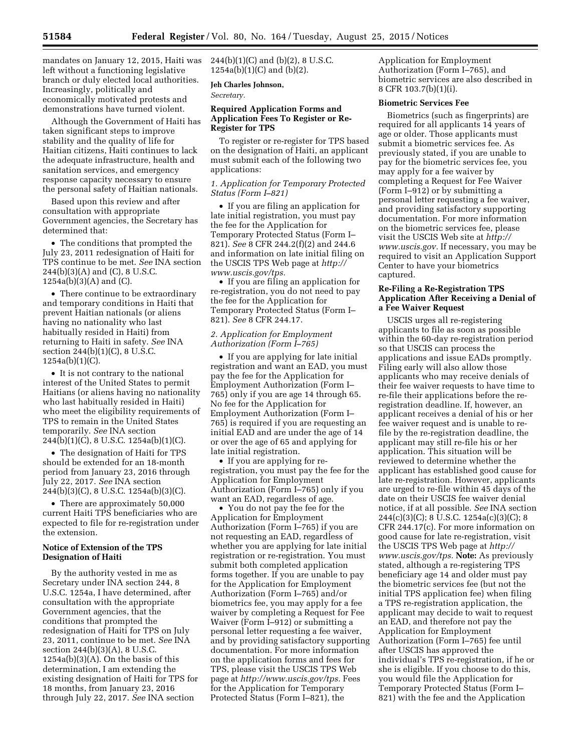mandates on January 12, 2015, Haiti was left without a functioning legislative branch or duly elected local authorities. Increasingly, politically and economically motivated protests and demonstrations have turned violent.

Although the Government of Haiti has taken significant steps to improve stability and the quality of life for Haitian citizens, Haiti continues to lack the adequate infrastructure, health and sanitation services, and emergency response capacity necessary to ensure the personal safety of Haitian nationals.

Based upon this review and after consultation with appropriate Government agencies, the Secretary has determined that:

• The conditions that prompted the July 23, 2011 redesignation of Haiti for TPS continue to be met. *See* INA section 244(b)(3)(A) and (C), 8 U.S.C. 1254a(b)(3)(A) and (C).

• There continue to be extraordinary and temporary conditions in Haiti that prevent Haitian nationals (or aliens having no nationality who last habitually resided in Haiti) from returning to Haiti in safety. *See* INA section 244(b)(1)(C), 8 U.S.C. 1254a(b)(1)(C).

• It is not contrary to the national interest of the United States to permit Haitians (or aliens having no nationality who last habitually resided in Haiti) who meet the eligibility requirements of TPS to remain in the United States temporarily. *See* INA section 244(b)(1)(C), 8 U.S.C. 1254a(b)(1)(C).

• The designation of Haiti for TPS should be extended for an 18-month period from January 23, 2016 through July 22, 2017. *See* INA section 244(b)(3)(C), 8 U.S.C. 1254a(b)(3)(C).

• There are approximately 50,000 current Haiti TPS beneficiaries who are expected to file for re-registration under the extension.

### **Notice of Extension of the TPS Designation of Haiti**

By the authority vested in me as Secretary under INA section 244, 8 U.S.C. 1254a, I have determined, after consultation with the appropriate Government agencies, that the conditions that prompted the redesignation of Haiti for TPS on July 23, 2011, continue to be met. *See* INA section 244(b)(3)(A), 8 U.S.C.  $1254a(b)(3)(A)$ . On the basis of this determination, I am extending the existing designation of Haiti for TPS for 18 months, from January 23, 2016 through July 22, 2017. *See* INA section

 $244(b)(1)(C)$  and  $(b)(2)$ , 8 U.S.C. 1254a(b)(1)(C) and (b)(2).

# **Jeh Charles Johnson,**

*Secretary.* 

## **Required Application Forms and Application Fees To Register or Re-Register for TPS**

To register or re-register for TPS based on the designation of Haiti, an applicant must submit each of the following two applications:

# *1. Application for Temporary Protected Status (Form I–821)*

• If you are filing an application for late initial registration, you must pay the fee for the Application for Temporary Protected Status (Form I– 821). *See* 8 CFR 244.2(f)(2) and 244.6 and information on late initial filing on the USCIS TPS Web page at *[http://](http://www.uscis.gov/tps) [www.uscis.gov/tps.](http://www.uscis.gov/tps)* 

• If you are filing an application for re-registration, you do not need to pay the fee for the Application for Temporary Protected Status (Form I– 821). *See* 8 CFR 244.17.

### *2. Application for Employment Authorization (Form I–765)*

• If you are applying for late initial registration and want an EAD, you must pay the fee for the Application for Employment Authorization (Form I– 765) only if you are age 14 through 65. No fee for the Application for Employment Authorization (Form I– 765) is required if you are requesting an initial EAD and are under the age of 14 or over the age of 65 and applying for late initial registration.

• If you are applying for reregistration, you must pay the fee for the Application for Employment Authorization (Form I–765) only if you want an EAD, regardless of age.

• You do not pay the fee for the Application for Employment Authorization (Form I–765) if you are not requesting an EAD, regardless of whether you are applying for late initial registration or re-registration. You must submit both completed application forms together. If you are unable to pay for the Application for Employment Authorization (Form I–765) and/or biometrics fee, you may apply for a fee waiver by completing a Request for Fee Waiver (Form I–912) or submitting a personal letter requesting a fee waiver, and by providing satisfactory supporting documentation. For more information on the application forms and fees for TPS, please visit the USCIS TPS Web page at *[http://www.uscis.gov/tps.](http://www.uscis.gov/tps)* Fees for the Application for Temporary Protected Status (Form I–821), the

Application for Employment Authorization (Form I–765), and biometric services are also described in 8 CFR 103.7(b)(1)(i).

# **Biometric Services Fee**

Biometrics (such as fingerprints) are required for all applicants 14 years of age or older. Those applicants must submit a biometric services fee. As previously stated, if you are unable to pay for the biometric services fee, you may apply for a fee waiver by completing a Request for Fee Waiver (Form I–912) or by submitting a personal letter requesting a fee waiver, and providing satisfactory supporting documentation. For more information on the biometric services fee, please visit the USCIS Web site at *[http://](http://www.uscis.gov) [www.uscis.gov.](http://www.uscis.gov)* If necessary, you may be required to visit an Application Support Center to have your biometrics captured.

# **Re-Filing a Re-Registration TPS Application After Receiving a Denial of a Fee Waiver Request**

USCIS urges all re-registering applicants to file as soon as possible within the 60-day re-registration period so that USCIS can process the applications and issue EADs promptly. Filing early will also allow those applicants who may receive denials of their fee waiver requests to have time to re-file their applications before the reregistration deadline. If, however, an applicant receives a denial of his or her fee waiver request and is unable to refile by the re-registration deadline, the applicant may still re-file his or her application. This situation will be reviewed to determine whether the applicant has established good cause for late re-registration. However, applicants are urged to re-file within 45 days of the date on their USCIS fee waiver denial notice, if at all possible. *See* INA section 244(c)(3)(C); 8 U.S.C. 1254a(c)(3)(C); 8 CFR 244.17(c). For more information on good cause for late re-registration, visit the USCIS TPS Web page at *[http://](http://www.uscis.gov/tps) [www.uscis.gov/tps.](http://www.uscis.gov/tps)* **Note:** As previously stated, although a re-registering TPS beneficiary age 14 and older must pay the biometric services fee (but not the initial TPS application fee) when filing a TPS re-registration application, the applicant may decide to wait to request an EAD, and therefore not pay the Application for Employment Authorization (Form I–765) fee until after USCIS has approved the individual's TPS re-registration, if he or she is eligible. If you choose to do this, you would file the Application for Temporary Protected Status (Form I– 821) with the fee and the Application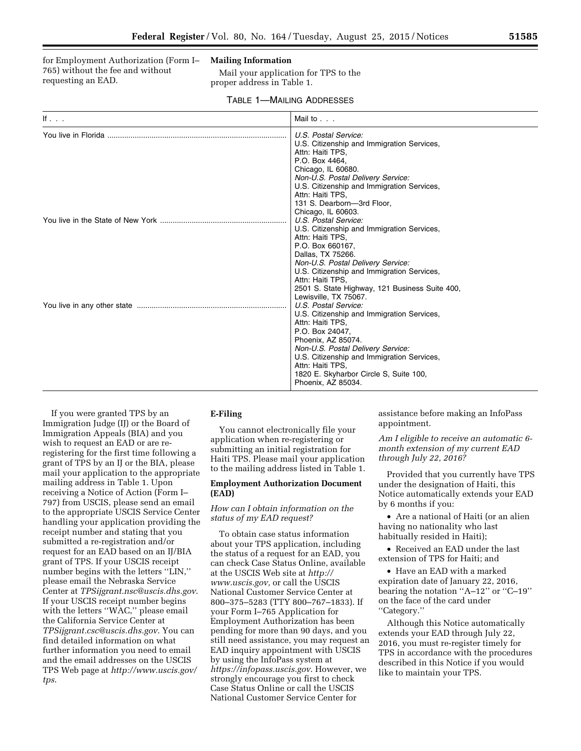for Employment Authorization (Form I– 765) without the fee and without requesting an EAD.

#### **Mailing Information**

Mail your application for TPS to the proper address in Table 1.

### TABLE 1—MAILING ADDRESSES

| If $\ldots$ | Mail to                                                                                                                                                                                                                                                                                                           |
|-------------|-------------------------------------------------------------------------------------------------------------------------------------------------------------------------------------------------------------------------------------------------------------------------------------------------------------------|
|             | U.S. Postal Service:<br>U.S. Citizenship and Immigration Services,<br>Attn: Haiti TPS,<br>P.O. Box 4464.<br>Chicago, IL 60680.<br>Non-U.S. Postal Delivery Service:<br>U.S. Citizenship and Immigration Services,<br>Attn: Haiti TPS,<br>131 S. Dearborn-3rd Floor,<br>Chicago, IL 60603.                         |
|             | U.S. Postal Service:<br>U.S. Citizenship and Immigration Services,<br>Attn: Haiti TPS,<br>P.O. Box 660167,<br>Dallas, TX 75266.<br>Non-U.S. Postal Delivery Service:<br>U.S. Citizenship and Immigration Services,<br>Attn: Haiti TPS,<br>2501 S. State Highway, 121 Business Suite 400,<br>Lewisville, TX 75067. |
|             | U.S. Postal Service:<br>U.S. Citizenship and Immigration Services,<br>Attn: Haiti TPS,<br>P.O. Box 24047.<br>Phoenix, AZ 85074.<br>Non-U.S. Postal Delivery Service:<br>U.S. Citizenship and Immigration Services,<br>Attn: Haiti TPS,<br>1820 E. Skyharbor Circle S, Suite 100,<br>Phoenix, AZ 85034.            |

If you were granted TPS by an Immigration Judge (IJ) or the Board of Immigration Appeals (BIA) and you wish to request an EAD or are reregistering for the first time following a grant of TPS by an IJ or the BIA, please mail your application to the appropriate mailing address in Table 1. Upon receiving a Notice of Action (Form I– 797) from USCIS, please send an email to the appropriate USCIS Service Center handling your application providing the receipt number and stating that you submitted a re-registration and/or request for an EAD based on an IJ/BIA grant of TPS. If your USCIS receipt number begins with the letters ''LIN,'' please email the Nebraska Service Center at *[TPSijgrant.nsc@uscis.dhs.gov](mailto:TPSijgrant.nsc@uscis.dhs.gov)*. If your USCIS receipt number begins with the letters ''WAC,'' please email the California Service Center at *[TPSijgrant.csc@uscis.dhs.gov](mailto:TPSijgrant.csc@uscis.dhs.gov)*. You can find detailed information on what further information you need to email and the email addresses on the USCIS TPS Web page at *[http://www.uscis.gov/](http://www.uscis.gov/tps) [tps](http://www.uscis.gov/tps)*.

### **E-Filing**

You cannot electronically file your application when re-registering or submitting an initial registration for Haiti TPS. Please mail your application to the mailing address listed in Table 1.

## **Employment Authorization Document (EAD)**

## *How can I obtain information on the status of my EAD request?*

To obtain case status information about your TPS application, including the status of a request for an EAD, you can check Case Status Online, available at the USCIS Web site at *[http://](http://www.uscis.gov) [www.uscis.gov,](http://www.uscis.gov)* or call the USCIS National Customer Service Center at 800–375–5283 (TTY 800–767–1833). If your Form I–765 Application for Employment Authorization has been pending for more than 90 days, and you still need assistance, you may request an EAD inquiry appointment with USCIS by using the InfoPass system at *<https://infopass.uscis.gov>*. However, we strongly encourage you first to check Case Status Online or call the USCIS National Customer Service Center for

assistance before making an InfoPass appointment.

*Am I eligible to receive an automatic 6 month extension of my current EAD through July 22, 2016?* 

Provided that you currently have TPS under the designation of Haiti, this Notice automatically extends your EAD by 6 months if you:

• Are a national of Haiti (or an alien having no nationality who last habitually resided in Haiti);

• Received an EAD under the last extension of TPS for Haiti; and

• Have an EAD with a marked expiration date of January 22, 2016, bearing the notation ''A–12'' or ''C–19'' on the face of the card under ''Category.''

Although this Notice automatically extends your EAD through July 22, 2016, you must re-register timely for TPS in accordance with the procedures described in this Notice if you would like to maintain your TPS.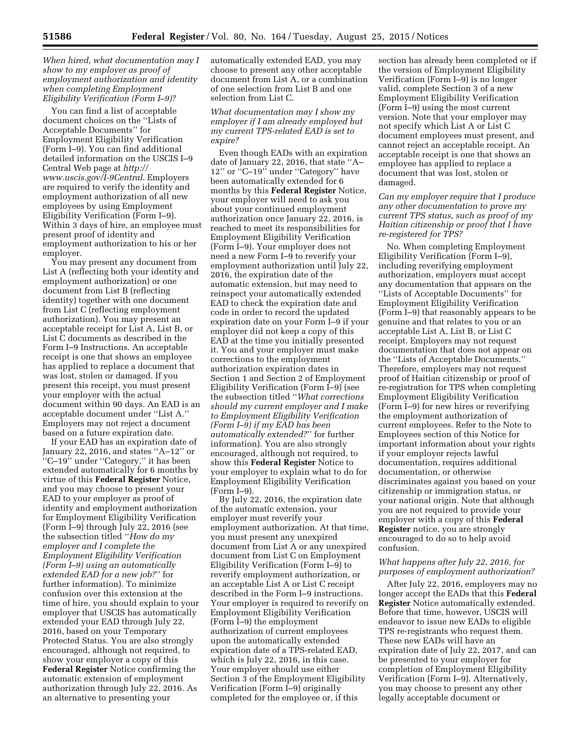## *When hired, what documentation may I show to my employer as proof of employment authorization and identity when completing Employment Eligibility Verification (Form I–9)?*

You can find a list of acceptable document choices on the ''Lists of Acceptable Documents'' for Employment Eligibility Verification (Form I–9). You can find additional detailed information on the USCIS I–9 Central Web page at *[http://](http://www.uscis.gov/I-9Central) [www.uscis.gov/I-9Central](http://www.uscis.gov/I-9Central)*. Employers are required to verify the identity and employment authorization of all new employees by using Employment Eligibility Verification (Form I–9). Within 3 days of hire, an employee must present proof of identity and employment authorization to his or her employer.

You may present any document from List A (reflecting both your identity and employment authorization) or one document from List B (reflecting identity) together with one document from List C (reflecting employment authorization). You may present an acceptable receipt for List A, List B, or List C documents as described in the Form I–9 Instructions. An acceptable receipt is one that shows an employee has applied to replace a document that was lost, stolen or damaged. If you present this receipt, you must present your employer with the actual document within 90 days. An EAD is an acceptable document under ''List A.'' Employers may not reject a document based on a future expiration date.

If your EAD has an expiration date of January 22, 2016, and states ''A–12'' or ''C–19'' under ''Category,'' it has been extended automatically for 6 months by virtue of this **Federal Register** Notice, and you may choose to present your EAD to your employer as proof of identity and employment authorization for Employment Eligibility Verification (Form I–9) through July 22, 2016 (see the subsection titled ''*How do my employer and I complete the Employment Eligibility Verification (Form I–9) using an automatically extended EAD for a new job?*'' for further information). To minimize confusion over this extension at the time of hire, you should explain to your employer that USCIS has automatically extended your EAD through July 22, 2016, based on your Temporary Protected Status. You are also strongly encouraged, although not required, to show your employer a copy of this **Federal Register** Notice confirming the automatic extension of employment authorization through July 22, 2016. As an alternative to presenting your

automatically extended EAD, you may choose to present any other acceptable document from List A, or a combination of one selection from List B and one selection from List C.

*What documentation may I show my employer if I am already employed but my current TPS-related EAD is set to expire?* 

Even though EADs with an expiration date of January 22, 2016, that state ''A– 12'' or ''C–19'' under ''Category'' have been automatically extended for 6 months by this **Federal Register** Notice, your employer will need to ask you about your continued employment authorization once January 22, 2016, is reached to meet its responsibilities for Employment Eligibility Verification (Form I–9). Your employer does not need a new Form I–9 to reverify your employment authorization until July 22, 2016, the expiration date of the automatic extension, but may need to reinspect your automatically extended EAD to check the expiration date and code in order to record the updated expiration date on your Form I–9 if your employer did not keep a copy of this EAD at the time you initially presented it. You and your employer must make corrections to the employment authorization expiration dates in Section 1 and Section 2 of Employment Eligibility Verification (Form I–9) (see the subsection titled ''*What corrections should my current employer and I make to Employment Eligibility Verification (Form I–9) if my EAD has been automatically extended?*'' for further information). You are also strongly encouraged, although not required, to show this **Federal Register** Notice to your employer to explain what to do for Employment Eligibility Verification (Form I–9).

By July 22, 2016, the expiration date of the automatic extension, your employer must reverify your employment authorization. At that time, you must present any unexpired document from List A or any unexpired document from List C on Employment Eligibility Verification (Form I–9) to reverify employment authorization, or an acceptable List A or List C receipt described in the Form I–9 instructions. Your employer is required to reverify on Employment Eligibility Verification (Form I–9) the employment authorization of current employees upon the automatically extended expiration date of a TPS-related EAD, which is July 22, 2016, in this case. Your employer should use either Section 3 of the Employment Eligibility Verification (Form I–9) originally completed for the employee or, if this

section has already been completed or if the version of Employment Eligibility Verification (Form I–9) is no longer valid, complete Section 3 of a new Employment Eligibility Verification (Form I–9) using the most current version. Note that your employer may not specify which List A or List C document employees must present, and cannot reject an acceptable receipt. An acceptable receipt is one that shows an employee has applied to replace a document that was lost, stolen or damaged.

### *Can my employer require that I produce any other documentation to prove my current TPS status, such as proof of my Haitian citizenship or proof that I have re-registered for TPS?*

No. When completing Employment Eligibility Verification (Form I–9), including reverifying employment authorization, employers must accept any documentation that appears on the ''Lists of Acceptable Documents'' for Employment Eligibility Verification (Form I–9) that reasonably appears to be genuine and that relates to you or an acceptable List A, List B, or List C receipt. Employers may not request documentation that does not appear on the ''Lists of Acceptable Documents.'' Therefore, employers may not request proof of Haitian citizenship or proof of re-registration for TPS when completing Employment Eligibility Verification (Form I–9) for new hires or reverifying the employment authorization of current employees. Refer to the Note to Employees section of this Notice for important information about your rights if your employer rejects lawful documentation, requires additional documentation, or otherwise discriminates against you based on your citizenship or immigration status, or your national origin. Note that although you are not required to provide your employer with a copy of this **Federal Register** notice, you are strongly encouraged to do so to help avoid confusion.

# *What happens after July 22, 2016, for purposes of employment authorization?*

After July 22, 2016, employers may no longer accept the EADs that this **Federal Register** Notice automatically extended. Before that time, however, USCIS will endeavor to issue new EADs to eligible TPS re-registrants who request them. These new EADs will have an expiration date of July 22, 2017, and can be presented to your employer for completion of Employment Eligibility Verification (Form I–9). Alternatively, you may choose to present any other legally acceptable document or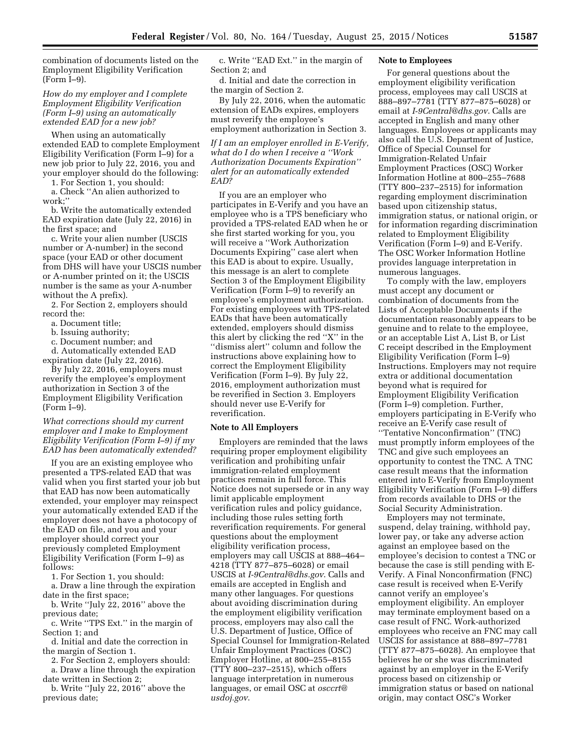combination of documents listed on the Employment Eligibility Verification (Form I–9).

*How do my employer and I complete Employment Eligibility Verification (Form I–9) using an automatically extended EAD for a new job?* 

When using an automatically extended EAD to complete Employment Eligibility Verification (Form I–9) for a new job prior to July 22, 2016, you and your employer should do the following:

1. For Section 1, you should: a. Check ''An alien authorized to work;''

b. Write the automatically extended EAD expiration date (July 22, 2016) in the first space; and

c. Write your alien number (USCIS number or A-number) in the second space (your EAD or other document from DHS will have your USCIS number or A-number printed on it; the USCIS number is the same as your A-number without the A prefix).

2. For Section 2, employers should record the:

- a. Document title;
- b. Issuing authority;

c. Document number; and

d. Automatically extended EAD expiration date (July 22, 2016).

By July 22, 2016, employers must reverify the employee's employment authorization in Section 3 of the Employment Eligibility Verification (Form I–9).

### *What corrections should my current employer and I make to Employment Eligibility Verification (Form I–9) if my EAD has been automatically extended?*

If you are an existing employee who presented a TPS-related EAD that was valid when you first started your job but that EAD has now been automatically extended, your employer may reinspect your automatically extended EAD if the employer does not have a photocopy of the EAD on file, and you and your employer should correct your previously completed Employment Eligibility Verification (Form I–9) as follows:

1. For Section 1, you should:

a. Draw a line through the expiration date in the first space;

b. Write ''July 22, 2016'' above the previous date;

c. Write ''TPS Ext.'' in the margin of Section 1; and

d. Initial and date the correction in the margin of Section 1.

2. For Section 2, employers should:

a. Draw a line through the expiration date written in Section 2;

b. Write ''July 22, 2016'' above the previous date;

c. Write ''EAD Ext.'' in the margin of Section 2; and

d. Initial and date the correction in the margin of Section 2.

By July 22, 2016, when the automatic extension of EADs expires, employers must reverify the employee's employment authorization in Section 3.

*If I am an employer enrolled in E-Verify, what do I do when I receive a ''Work Authorization Documents Expiration'' alert for an automatically extended EAD?* 

If you are an employer who participates in E-Verify and you have an employee who is a TPS beneficiary who provided a TPS-related EAD when he or she first started working for you, you will receive a ''Work Authorization Documents Expiring'' case alert when this EAD is about to expire. Usually, this message is an alert to complete Section 3 of the Employment Eligibility Verification (Form I–9) to reverify an employee's employment authorization. For existing employees with TPS-related EADs that have been automatically extended, employers should dismiss this alert by clicking the red ''X'' in the ''dismiss alert'' column and follow the instructions above explaining how to correct the Employment Eligibility Verification (Form I–9). By July 22, 2016, employment authorization must be reverified in Section 3. Employers should never use E-Verify for reverification.

### **Note to All Employers**

Employers are reminded that the laws requiring proper employment eligibility verification and prohibiting unfair immigration-related employment practices remain in full force. This Notice does not supersede or in any way limit applicable employment verification rules and policy guidance, including those rules setting forth reverification requirements. For general questions about the employment eligibility verification process, employers may call USCIS at 888–464– 4218 (TTY 877–875–6028) or email USCIS at *[I-9Central@dhs.gov](mailto:I-9Central@dhs.gov)*. Calls and emails are accepted in English and many other languages. For questions about avoiding discrimination during the employment eligibility verification process, employers may also call the U.S. Department of Justice, Office of Special Counsel for Immigration-Related Unfair Employment Practices (OSC) Employer Hotline, at 800–255–8155 (TTY 800–237–2515), which offers language interpretation in numerous languages, or email OSC at *[osccrt@](mailto:osccrt@usdoj.gov) [usdoj.gov](mailto:osccrt@usdoj.gov)*.

### **Note to Employees**

For general questions about the employment eligibility verification process, employees may call USCIS at 888–897–7781 (TTY 877–875–6028) or email at *[I-9Central@dhs.gov](mailto:I-9Central@dhs.gov)*. Calls are accepted in English and many other languages. Employees or applicants may also call the U.S. Department of Justice, Office of Special Counsel for Immigration-Related Unfair Employment Practices (OSC) Worker Information Hotline at 800–255–7688 (TTY 800–237–2515) for information regarding employment discrimination based upon citizenship status, immigration status, or national origin, or for information regarding discrimination related to Employment Eligibility Verification (Form I–9) and E-Verify. The OSC Worker Information Hotline provides language interpretation in numerous languages.

To comply with the law, employers must accept any document or combination of documents from the Lists of Acceptable Documents if the documentation reasonably appears to be genuine and to relate to the employee, or an acceptable List A, List B, or List C receipt described in the Employment Eligibility Verification (Form I–9) Instructions. Employers may not require extra or additional documentation beyond what is required for Employment Eligibility Verification (Form I–9) completion. Further, employers participating in E-Verify who receive an E-Verify case result of ''Tentative Nonconfirmation'' (TNC) must promptly inform employees of the TNC and give such employees an opportunity to contest the TNC. A TNC case result means that the information entered into E-Verify from Employment Eligibility Verification (Form I–9) differs from records available to DHS or the Social Security Administration.

Employers may not terminate, suspend, delay training, withhold pay, lower pay, or take any adverse action against an employee based on the employee's decision to contest a TNC or because the case is still pending with E-Verify. A Final Nonconfirmation (FNC) case result is received when E-Verify cannot verify an employee's employment eligibility. An employer may terminate employment based on a case result of FNC. Work-authorized employees who receive an FNC may call USCIS for assistance at 888–897–7781 (TTY 877–875–6028). An employee that believes he or she was discriminated against by an employer in the E-Verify process based on citizenship or immigration status or based on national origin, may contact OSC's Worker